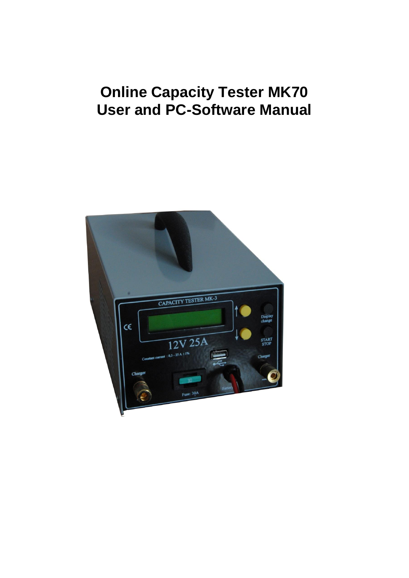# **Online Capacity Tester MK70 User and PC-Software Manual**

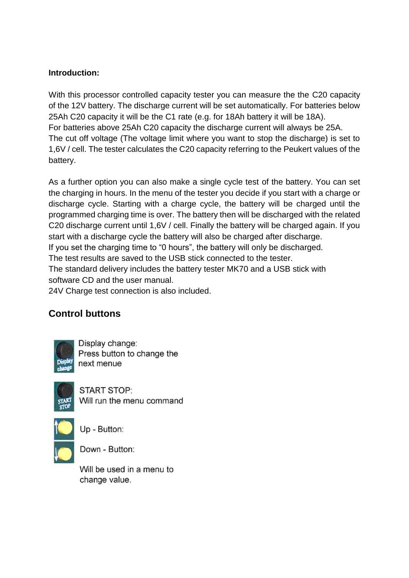#### **Introduction:**

With this processor controlled capacity tester you can measure the the C20 capacity of the 12V battery. The discharge current will be set automatically. For batteries below 25Ah C20 capacity it will be the C1 rate (e.g. for 18Ah battery it will be 18A). For batteries above 25Ah C20 capacity the discharge current will always be 25A. The cut off voltage (The voltage limit where you want to stop the discharge) is set to 1,6V / cell. The tester calculates the C20 capacity referring to the Peukert values of the battery.

As a further option you can also make a single cycle test of the battery. You can set the charging in hours. In the menu of the tester you decide if you start with a charge or discharge cycle. Starting with a charge cycle, the battery will be charged until the programmed charging time is over. The battery then will be discharged with the related C20 discharge current until 1,6V / cell. Finally the battery will be charged again. If you start with a discharge cycle the battery will also be charged after discharge.

If you set the charging time to "0 hours", the battery will only be discharged.

The test results are saved to the USB stick connected to the tester.

The standard delivery includes the battery tester MK70 and a USB stick with software CD and the user manual.

24V Charge test connection is also included.

## **Control buttons**



Display change: Press button to change the next menue



**START STOP:** Will run the menu command



Up - Button:



Will be used in a menu to change value.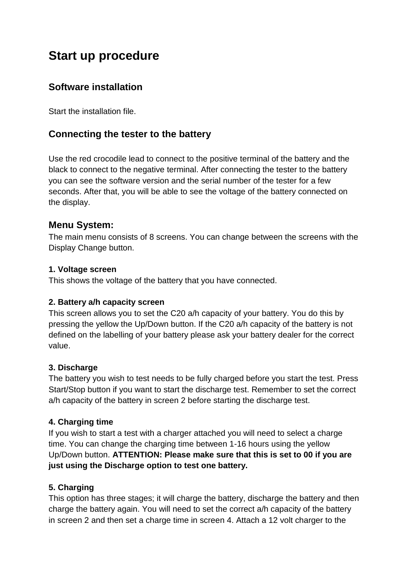## **Start up procedure**

## **Software installation**

Start the installation file.

## **Connecting the tester to the battery**

Use the red crocodile lead to connect to the positive terminal of the battery and the black to connect to the negative terminal. After connecting the tester to the battery you can see the software version and the serial number of the tester for a few seconds. After that, you will be able to see the voltage of the battery connected on the display.

## **Menu System:**

The main menu consists of 8 screens. You can change between the screens with the Display Change button.

#### **1. Voltage screen**

This shows the voltage of the battery that you have connected.

#### **2. Battery a/h capacity screen**

This screen allows you to set the C20 a/h capacity of your battery. You do this by pressing the yellow the Up/Down button. If the C20 a/h capacity of the battery is not defined on the labelling of your battery please ask your battery dealer for the correct value.

#### **3. Discharge**

The battery you wish to test needs to be fully charged before you start the test. Press Start/Stop button if you want to start the discharge test. Remember to set the correct a/h capacity of the battery in screen 2 before starting the discharge test.

#### **4. Charging time**

If you wish to start a test with a charger attached you will need to select a charge time. You can change the charging time between 1-16 hours using the yellow Up/Down button. **ATTENTION: Please make sure that this is set to 00 if you are just using the Discharge option to test one battery.**

#### **5. Charging**

This option has three stages; it will charge the battery, discharge the battery and then charge the battery again. You will need to set the correct a/h capacity of the battery in screen 2 and then set a charge time in screen 4. Attach a 12 volt charger to the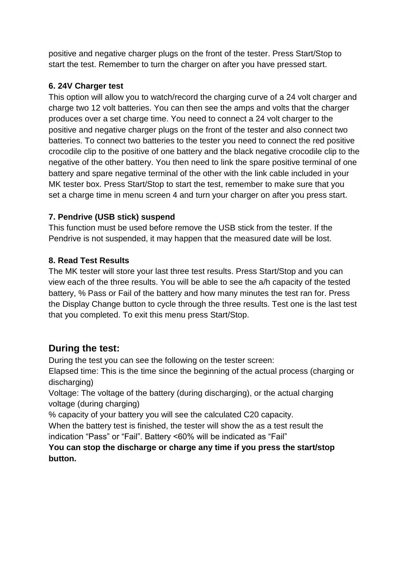positive and negative charger plugs on the front of the tester. Press Start/Stop to start the test. Remember to turn the charger on after you have pressed start.

### **6. 24V Charger test**

This option will allow you to watch/record the charging curve of a 24 volt charger and charge two 12 volt batteries. You can then see the amps and volts that the charger produces over a set charge time. You need to connect a 24 volt charger to the positive and negative charger plugs on the front of the tester and also connect two batteries. To connect two batteries to the tester you need to connect the red positive crocodile clip to the positive of one battery and the black negative crocodile clip to the negative of the other battery. You then need to link the spare positive terminal of one battery and spare negative terminal of the other with the link cable included in your MK tester box. Press Start/Stop to start the test, remember to make sure that you set a charge time in menu screen 4 and turn your charger on after you press start.

## **7. Pendrive (USB stick) suspend**

This function must be used before remove the USB stick from the tester. If the Pendrive is not suspended, it may happen that the measured date will be lost.

## **8. Read Test Results**

The MK tester will store your last three test results. Press Start/Stop and you can view each of the three results. You will be able to see the a/h capacity of the tested battery, % Pass or Fail of the battery and how many minutes the test ran for. Press the Display Change button to cycle through the three results. Test one is the last test that you completed. To exit this menu press Start/Stop.

## **During the test:**

During the test you can see the following on the tester screen:

Elapsed time: This is the time since the beginning of the actual process (charging or discharging)

Voltage: The voltage of the battery (during discharging), or the actual charging voltage (during charging)

% capacity of your battery you will see the calculated C20 capacity.

When the battery test is finished, the tester will show the as a test result the indication "Pass" or "Fail". Battery <60% will be indicated as "Fail"

#### **You can stop the discharge or charge any time if you press the start/stop button.**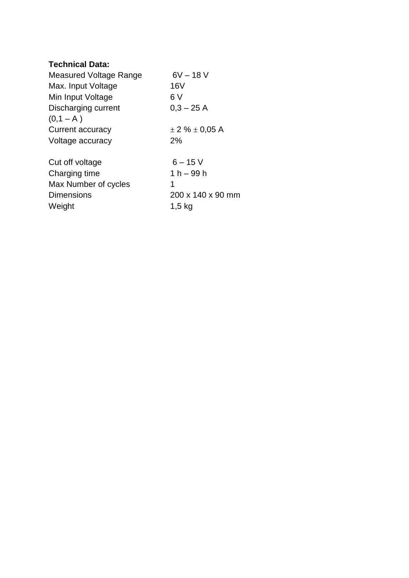#### **Technical Data:**

| Measured Voltage Range | $6V - 18V$             |
|------------------------|------------------------|
| Max. Input Voltage     | 16 <sub>V</sub>        |
| Min Input Voltage      | 6 V                    |
| Discharging current    | $0,3 - 25$ A           |
| $(0,1 - A)$            |                        |
| Current accuracy       | $\pm$ 2 % $\pm$ 0,05 A |
| Voltage accuracy       | 2%                     |
| Cut off voltage        | $6 - 15$ V             |
| Charging time          | $1 h - 99 h$           |
| Max Number of cycles   | 1                      |
| <b>Dimensions</b>      | 200 x 140 x 90 mm      |
| Weight                 | $1,5$ kg               |
|                        |                        |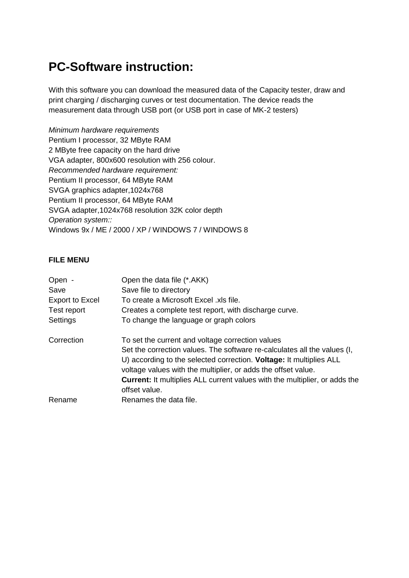## **PC-Software instruction:**

With this software you can download the measured data of the Capacity tester, draw and print charging / discharging curves or test documentation. The device reads the measurement data through USB port (or USB port in case of MK-2 testers)

*Minimum hardware requirements* Pentium I processor, 32 MByte RAM 2 MByte free capacity on the hard drive VGA adapter, 800x600 resolution with 256 colour. *Recommended hardware requirement:* Pentium II processor, 64 MByte RAM SVGA graphics adapter,1024x768 Pentium II processor, 64 MByte RAM SVGA adapter,1024x768 resolution 32K color depth *Operation system::* Windows 9x / ME / 2000 / XP / WINDOWS 7 / WINDOWS 8

#### **FILE MENU**

| Open -                 | Open the data file (*.AKK)                                                                                                                                                                                              |
|------------------------|-------------------------------------------------------------------------------------------------------------------------------------------------------------------------------------------------------------------------|
| Save                   | Save file to directory                                                                                                                                                                                                  |
| <b>Export to Excel</b> | To create a Microsoft Excel .xls file.                                                                                                                                                                                  |
| Test report            | Creates a complete test report, with discharge curve.                                                                                                                                                                   |
| Settings               | To change the language or graph colors                                                                                                                                                                                  |
| Correction             | To set the current and voltage correction values                                                                                                                                                                        |
|                        | Set the correction values. The software re-calculates all the values (I,<br>U) according to the selected correction. <b>Voltage:</b> It multiplies ALL<br>voltage values with the multiplier, or adds the offset value. |
|                        | <b>Current:</b> It multiplies ALL current values with the multiplier, or adds the<br>offset value.                                                                                                                      |
| Rename                 | Renames the data file.                                                                                                                                                                                                  |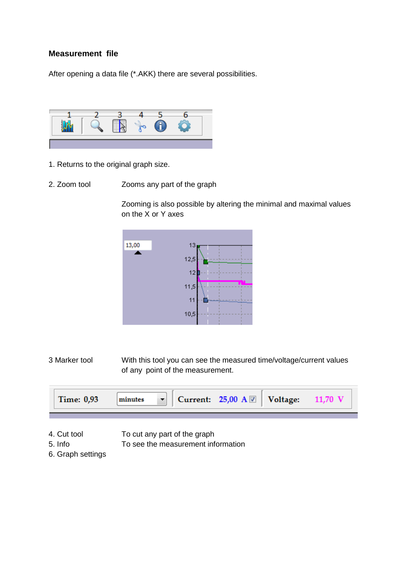#### **Measurement file**

After opening a data file (\*.AKK) there are several possibilities.



- 1. Returns to the original graph size.
- 2. Zoom tool Zooms any part of the graph

Zooming is also possible by altering the minimal and maximal values on the X or Y axes



3 Marker tool With this tool you can see the measured time/voltage/current values of any point of the measurement.



- 4. Cut tool To cut any part of the graph
- 5. Info To see the measurement information
- 6. Graph settings